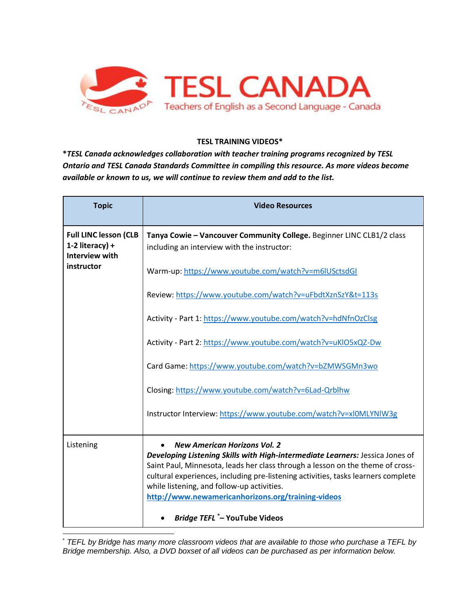

## **TESL TRAINING VIDEOS\***

**\****TESL Canada acknowledges collaboration with teacher training programs recognized by TESL Ontario and TESL Canada Standards Committee in compiling this resource. As more videos become available or known to us, we will continue to review them and add to the list.* 

| <b>Topic</b>                                                                    | <b>Video Resources</b>                                                                                                                                                                                                                                                                                                                                                                                                                  |
|---------------------------------------------------------------------------------|-----------------------------------------------------------------------------------------------------------------------------------------------------------------------------------------------------------------------------------------------------------------------------------------------------------------------------------------------------------------------------------------------------------------------------------------|
| <b>Full LINC lesson (CLB</b><br>1-2 literacy) +<br>Interview with<br>instructor | Tanya Cowie - Vancouver Community College. Beginner LINC CLB1/2 class<br>including an interview with the instructor:                                                                                                                                                                                                                                                                                                                    |
|                                                                                 | Warm-up: https://www.youtube.com/watch?v=m6lUSctsdGI                                                                                                                                                                                                                                                                                                                                                                                    |
|                                                                                 | Review: https://www.youtube.com/watch?v=uFbdtXznSzY&t=113s                                                                                                                                                                                                                                                                                                                                                                              |
|                                                                                 | Activity - Part 1: https://www.youtube.com/watch?v=hdNfnOzClsg                                                                                                                                                                                                                                                                                                                                                                          |
|                                                                                 | Activity - Part 2: https://www.youtube.com/watch?v=uKlO5xQZ-Dw                                                                                                                                                                                                                                                                                                                                                                          |
|                                                                                 | Card Game: https://www.youtube.com/watch?v=bZMWSGMn3wo                                                                                                                                                                                                                                                                                                                                                                                  |
|                                                                                 | Closing: https://www.youtube.com/watch?v=6Lad-Qrblhw                                                                                                                                                                                                                                                                                                                                                                                    |
|                                                                                 | Instructor Interview: https://www.youtube.com/watch?v=xl0MLYNIW3g                                                                                                                                                                                                                                                                                                                                                                       |
| Listening                                                                       | <b>New American Horizons Vol. 2</b><br>Developing Listening Skills with High-intermediate Learners: Jessica Jones of<br>Saint Paul, Minnesota, leads her class through a lesson on the theme of cross-<br>cultural experiences, including pre-listening activities, tasks learners complete<br>while listening, and follow-up activities.<br>http://www.newamericanhorizons.org/training-videos<br><b>Bridge TEFL *- YouTube Videos</b> |

 \* *TEFL by Bridge has many more classroom videos that are available to those who purchase a TEFL by Bridge membership. Also, a DVD boxset of all videos can be purchased as per information below.*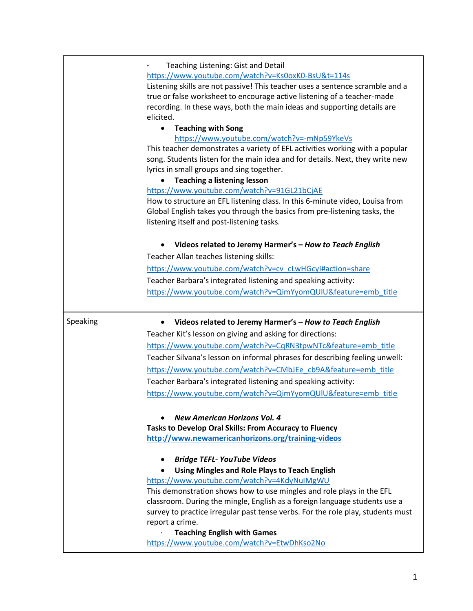|          | Teaching Listening: Gist and Detail<br>https://www.youtube.com/watch?v=Ks0oxK0-BsU&t=114s<br>Listening skills are not passive! This teacher uses a sentence scramble and a<br>true or false worksheet to encourage active listening of a teacher-made<br>recording. In these ways, both the main ideas and supporting details are<br>elicited.<br><b>Teaching with Song</b><br>https://www.youtube.com/watch?v=-mNp59YkeVs<br>This teacher demonstrates a variety of EFL activities working with a popular<br>song. Students listen for the main idea and for details. Next, they write new<br>lyrics in small groups and sing together.<br><b>Teaching a listening lesson</b><br>https://www.youtube.com/watch?v=91GL21bCjAE<br>How to structure an EFL listening class. In this 6-minute video, Louisa from |
|----------|---------------------------------------------------------------------------------------------------------------------------------------------------------------------------------------------------------------------------------------------------------------------------------------------------------------------------------------------------------------------------------------------------------------------------------------------------------------------------------------------------------------------------------------------------------------------------------------------------------------------------------------------------------------------------------------------------------------------------------------------------------------------------------------------------------------|
|          | Global English takes you through the basics from pre-listening tasks, the<br>listening itself and post-listening tasks.                                                                                                                                                                                                                                                                                                                                                                                                                                                                                                                                                                                                                                                                                       |
|          | Videos related to Jeremy Harmer's - How to Teach English                                                                                                                                                                                                                                                                                                                                                                                                                                                                                                                                                                                                                                                                                                                                                      |
|          | Teacher Allan teaches listening skills:                                                                                                                                                                                                                                                                                                                                                                                                                                                                                                                                                                                                                                                                                                                                                                       |
|          | https://www.youtube.com/watch?v=cv_cLwHGcyl#action=share                                                                                                                                                                                                                                                                                                                                                                                                                                                                                                                                                                                                                                                                                                                                                      |
|          | Teacher Barbara's integrated listening and speaking activity:                                                                                                                                                                                                                                                                                                                                                                                                                                                                                                                                                                                                                                                                                                                                                 |
|          | https://www.youtube.com/watch?v=QimYyomQUIU&feature=emb_title                                                                                                                                                                                                                                                                                                                                                                                                                                                                                                                                                                                                                                                                                                                                                 |
| Speaking | Videos related to Jeremy Harmer's - How to Teach English                                                                                                                                                                                                                                                                                                                                                                                                                                                                                                                                                                                                                                                                                                                                                      |
|          | Teacher Kit's lesson on giving and asking for directions:                                                                                                                                                                                                                                                                                                                                                                                                                                                                                                                                                                                                                                                                                                                                                     |
|          | https://www.youtube.com/watch?v=CqRN3tpwNTc&feature=emb_title                                                                                                                                                                                                                                                                                                                                                                                                                                                                                                                                                                                                                                                                                                                                                 |
|          | Teacher Silvana's lesson on informal phrases for describing feeling unwell:                                                                                                                                                                                                                                                                                                                                                                                                                                                                                                                                                                                                                                                                                                                                   |
|          | https://www.youtube.com/watch?v=CMbJEe_cb9A&feature=emb_title                                                                                                                                                                                                                                                                                                                                                                                                                                                                                                                                                                                                                                                                                                                                                 |
|          | Teacher Barbara's integrated listening and speaking activity:                                                                                                                                                                                                                                                                                                                                                                                                                                                                                                                                                                                                                                                                                                                                                 |
|          | https://www.youtube.com/watch?v=QimYyomQUIU&feature=emb_title                                                                                                                                                                                                                                                                                                                                                                                                                                                                                                                                                                                                                                                                                                                                                 |
|          | <b>New American Horizons Vol. 4</b><br>Tasks to Develop Oral Skills: From Accuracy to Fluency<br>http://www.newamericanhorizons.org/training-videos                                                                                                                                                                                                                                                                                                                                                                                                                                                                                                                                                                                                                                                           |
|          | <b>Bridge TEFL- YouTube Videos</b><br><b>Using Mingles and Role Plays to Teach English</b>                                                                                                                                                                                                                                                                                                                                                                                                                                                                                                                                                                                                                                                                                                                    |
|          | https://www.youtube.com/watch?v=4KdyNuIMgWU                                                                                                                                                                                                                                                                                                                                                                                                                                                                                                                                                                                                                                                                                                                                                                   |
|          | This demonstration shows how to use mingles and role plays in the EFL                                                                                                                                                                                                                                                                                                                                                                                                                                                                                                                                                                                                                                                                                                                                         |
|          | classroom. During the mingle, English as a foreign language students use a<br>survey to practice irregular past tense verbs. For the role play, students must<br>report a crime.                                                                                                                                                                                                                                                                                                                                                                                                                                                                                                                                                                                                                              |
|          | <b>Teaching English with Games</b>                                                                                                                                                                                                                                                                                                                                                                                                                                                                                                                                                                                                                                                                                                                                                                            |
|          | https://www.youtube.com/watch?v=EtwDhKso2No                                                                                                                                                                                                                                                                                                                                                                                                                                                                                                                                                                                                                                                                                                                                                                   |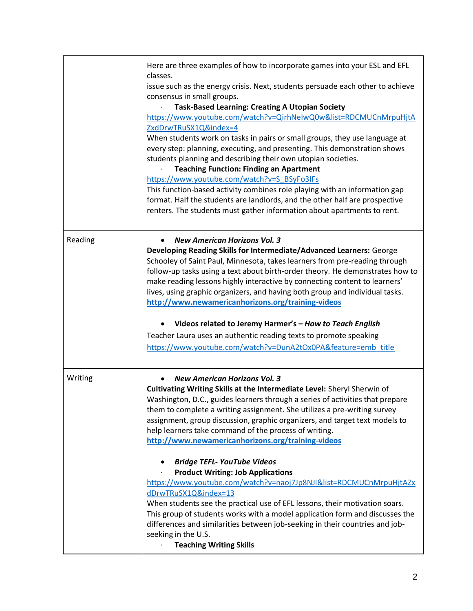|         | Here are three examples of how to incorporate games into your ESL and EFL<br>classes.<br>issue such as the energy crisis. Next, students persuade each other to achieve<br>consensus in small groups.<br><b>Task-Based Learning: Creating A Utopian Society</b><br>https://www.youtube.com/watch?v=QirhNelwQ0w&list=RDCMUCnMrpuHjtA<br>ZxdDrwTRuSX1Q&index=4<br>When students work on tasks in pairs or small groups, they use language at<br>every step: planning, executing, and presenting. This demonstration shows<br>students planning and describing their own utopian societies.<br><b>Teaching Function: Finding an Apartment</b><br>https://www.youtube.com/watch?v=S_BSyFo3IFs<br>This function-based activity combines role playing with an information gap<br>format. Half the students are landlords, and the other half are prospective<br>renters. The students must gather information about apartments to rent.                                 |
|---------|-------------------------------------------------------------------------------------------------------------------------------------------------------------------------------------------------------------------------------------------------------------------------------------------------------------------------------------------------------------------------------------------------------------------------------------------------------------------------------------------------------------------------------------------------------------------------------------------------------------------------------------------------------------------------------------------------------------------------------------------------------------------------------------------------------------------------------------------------------------------------------------------------------------------------------------------------------------------|
| Reading | <b>New American Horizons Vol. 3</b><br>Developing Reading Skills for Intermediate/Advanced Learners: George<br>Schooley of Saint Paul, Minnesota, takes learners from pre-reading through<br>follow-up tasks using a text about birth-order theory. He demonstrates how to<br>make reading lessons highly interactive by connecting content to learners'<br>lives, using graphic organizers, and having both group and individual tasks.<br>http://www.newamericanhorizons.org/training-videos<br>Videos related to Jeremy Harmer's - How to Teach English<br>Teacher Laura uses an authentic reading texts to promote speaking<br>https://www.youtube.com/watch?v=DunA2tOx0PA&feature=emb_title                                                                                                                                                                                                                                                                  |
| Writing | <b>New American Horizons Vol. 3</b><br>Cultivating Writing Skills at the Intermediate Level: Sheryl Sherwin of<br>Washington, D.C., guides learners through a series of activities that prepare<br>them to complete a writing assignment. She utilizes a pre-writing survey<br>assignment, group discussion, graphic organizers, and target text models to<br>help learners take command of the process of writing.<br>http://www.newamericanhorizons.org/training-videos<br><b>Bridge TEFL- YouTube Videos</b><br><b>Product Writing: Job Applications</b><br>https://www.youtube.com/watch?v=naoj7Jp8NJI&list=RDCMUCnMrpuHjtAZx<br>dDrwTRuSX1Q&index=13<br>When students see the practical use of EFL lessons, their motivation soars.<br>This group of students works with a model application form and discusses the<br>differences and similarities between job-seeking in their countries and job-<br>seeking in the U.S.<br><b>Teaching Writing Skills</b> |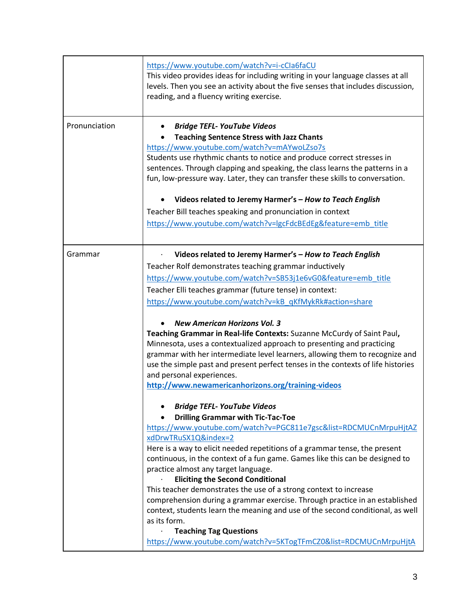|               | https://www.youtube.com/watch?v=i-cCla6faCU<br>This video provides ideas for including writing in your language classes at all<br>levels. Then you see an activity about the five senses that includes discussion,<br>reading, and a fluency writing exercise.                                                                                                                                                                                                                                                                                                                                                                                                                                                                                                                          |
|---------------|-----------------------------------------------------------------------------------------------------------------------------------------------------------------------------------------------------------------------------------------------------------------------------------------------------------------------------------------------------------------------------------------------------------------------------------------------------------------------------------------------------------------------------------------------------------------------------------------------------------------------------------------------------------------------------------------------------------------------------------------------------------------------------------------|
| Pronunciation | <b>Bridge TEFL- YouTube Videos</b><br><b>Teaching Sentence Stress with Jazz Chants</b><br>https://www.youtube.com/watch?v=mAYwoLZso7s<br>Students use rhythmic chants to notice and produce correct stresses in<br>sentences. Through clapping and speaking, the class learns the patterns in a<br>fun, low-pressure way. Later, they can transfer these skills to conversation.<br>Videos related to Jeremy Harmer's - How to Teach English<br>Teacher Bill teaches speaking and pronunciation in context<br>https://www.youtube.com/watch?v=lgcFdcBEdEg&feature=emb_title                                                                                                                                                                                                             |
| Grammar       | Videos related to Jeremy Harmer's - How to Teach English<br>Teacher Rolf demonstrates teaching grammar inductively<br>https://www.youtube.com/watch?v=SB53j1e6vG0&feature=emb_title<br>Teacher Elli teaches grammar (future tense) in context:<br>https://www.youtube.com/watch?v=kB_qKfMykRk#action=share<br><b>New American Horizons Vol. 3</b><br>Teaching Grammar in Real-life Contexts: Suzanne McCurdy of Saint Paul,<br>Minnesota, uses a contextualized approach to presenting and practicing<br>grammar with her intermediate level learners, allowing them to recognize and<br>use the simple past and present perfect tenses in the contexts of life histories<br>and personal experiences.<br>http://www.newamericanhorizons.org/training-videos                            |
|               | <b>Bridge TEFL- YouTube Videos</b><br><b>Drilling Grammar with Tic-Tac-Toe</b><br>https://www.youtube.com/watch?v=PGC811e7gsc&list=RDCMUCnMrpuHjtAZ<br>xdDrwTRuSX1Q&index=2<br>Here is a way to elicit needed repetitions of a grammar tense, the present<br>continuous, in the context of a fun game. Games like this can be designed to<br>practice almost any target language.<br><b>Eliciting the Second Conditional</b><br>This teacher demonstrates the use of a strong context to increase<br>comprehension during a grammar exercise. Through practice in an established<br>context, students learn the meaning and use of the second conditional, as well<br>as its form.<br><b>Teaching Tag Questions</b><br>https://www.youtube.com/watch?v=5KTogTFmCZ0&list=RDCMUCnMrpuHjtA |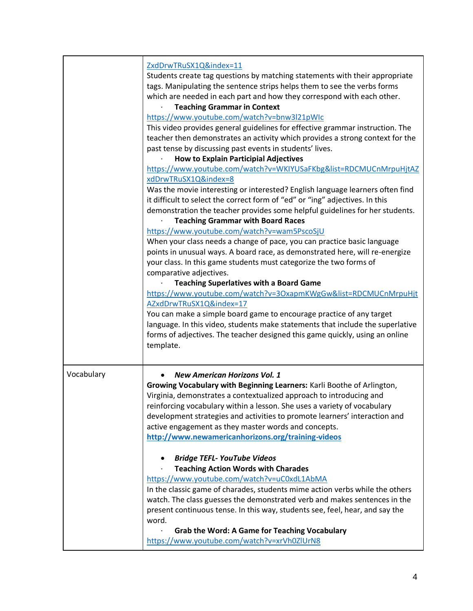|            | ZxdDrwTRuSX1Q&index=11<br>Students create tag questions by matching statements with their appropriate<br>tags. Manipulating the sentence strips helps them to see the verbs forms<br>which are needed in each part and how they correspond with each other.<br><b>Teaching Grammar in Context</b><br>https://www.youtube.com/watch?v=bnw3l21pWIc<br>This video provides general guidelines for effective grammar instruction. The<br>teacher then demonstrates an activity which provides a strong context for the<br>past tense by discussing past events in students' lives.<br><b>How to Explain Participial Adjectives</b><br>https://www.youtube.com/watch?v=WKIYUSaFKbg&list=RDCMUCnMrpuHjtAZ<br>xdDrwTRuSX1Q&index=8<br>Was the movie interesting or interested? English language learners often find |
|------------|--------------------------------------------------------------------------------------------------------------------------------------------------------------------------------------------------------------------------------------------------------------------------------------------------------------------------------------------------------------------------------------------------------------------------------------------------------------------------------------------------------------------------------------------------------------------------------------------------------------------------------------------------------------------------------------------------------------------------------------------------------------------------------------------------------------|
|            | it difficult to select the correct form of "ed" or "ing" adjectives. In this<br>demonstration the teacher provides some helpful guidelines for her students.                                                                                                                                                                                                                                                                                                                                                                                                                                                                                                                                                                                                                                                 |
|            | <b>Teaching Grammar with Board Races</b><br>https://www.youtube.com/watch?v=wam5PscoSjU<br>When your class needs a change of pace, you can practice basic language<br>points in unusual ways. A board race, as demonstrated here, will re-energize<br>your class. In this game students must categorize the two forms of<br>comparative adjectives.<br><b>Teaching Superlatives with a Board Game</b><br>https://www.youtube.com/watch?v=30xapmKWgGw&list=RDCMUCnMrpuHjt<br>AZxdDrwTRuSX1Q&index=17<br>You can make a simple board game to encourage practice of any target<br>language. In this video, students make statements that include the superlative<br>forms of adjectives. The teacher designed this game quickly, using an online<br>template.                                                   |
| Vocabulary | <b>New American Horizons Vol. 1</b><br>Growing Vocabulary with Beginning Learners: Karli Boothe of Arlington,<br>Virginia, demonstrates a contextualized approach to introducing and<br>reinforcing vocabulary within a lesson. She uses a variety of vocabulary<br>development strategies and activities to promote learners' interaction and<br>active engagement as they master words and concepts.<br>http://www.newamericanhorizons.org/training-videos<br><b>Bridge TEFL- YouTube Videos</b><br>٠<br><b>Teaching Action Words with Charades</b><br>https://www.youtube.com/watch?v=uC0xdL1AbMA<br>In the classic game of charades, students mime action verbs while the others                                                                                                                         |
|            | watch. The class guesses the demonstrated verb and makes sentences in the<br>present continuous tense. In this way, students see, feel, hear, and say the<br>word.<br><b>Grab the Word: A Game for Teaching Vocabulary</b><br>https://www.youtube.com/watch?v=xrVh0ZIUrN8                                                                                                                                                                                                                                                                                                                                                                                                                                                                                                                                    |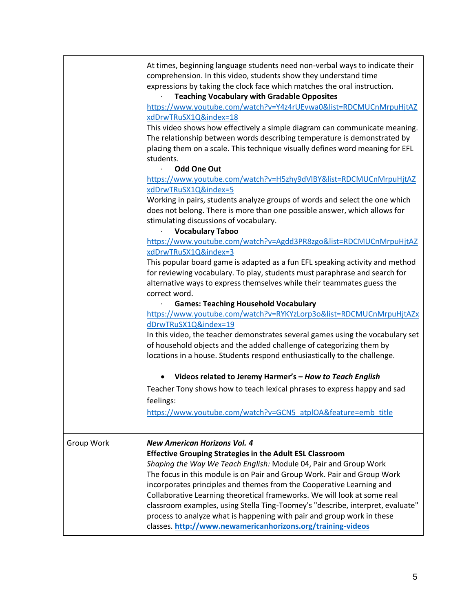|            | At times, beginning language students need non-verbal ways to indicate their<br>comprehension. In this video, students show they understand time<br>expressions by taking the clock face which matches the oral instruction.<br><b>Teaching Vocabulary with Gradable Opposites</b><br>https://www.youtube.com/watch?v=Y4z4rUEvwa0&list=RDCMUCnMrpuHjtAZ<br>xdDrwTRuSX1Q&index=18<br>This video shows how effectively a simple diagram can communicate meaning.<br>The relationship between words describing temperature is demonstrated by<br>placing them on a scale. This technique visually defines word meaning for EFL<br>students. |
|------------|------------------------------------------------------------------------------------------------------------------------------------------------------------------------------------------------------------------------------------------------------------------------------------------------------------------------------------------------------------------------------------------------------------------------------------------------------------------------------------------------------------------------------------------------------------------------------------------------------------------------------------------|
|            | <b>Odd One Out</b>                                                                                                                                                                                                                                                                                                                                                                                                                                                                                                                                                                                                                       |
|            | https://www.youtube.com/watch?v=H5zhy9dVlBY&list=RDCMUCnMrpuHjtAZ<br>xdDrwTRuSX1Q&index=5                                                                                                                                                                                                                                                                                                                                                                                                                                                                                                                                                |
|            | Working in pairs, students analyze groups of words and select the one which<br>does not belong. There is more than one possible answer, which allows for<br>stimulating discussions of vocabulary.                                                                                                                                                                                                                                                                                                                                                                                                                                       |
|            | <b>Vocabulary Taboo</b>                                                                                                                                                                                                                                                                                                                                                                                                                                                                                                                                                                                                                  |
|            | https://www.youtube.com/watch?v=Agdd3PR8zgo&list=RDCMUCnMrpuHjtAZ<br>xdDrwTRuSX1Q&index=3                                                                                                                                                                                                                                                                                                                                                                                                                                                                                                                                                |
|            | This popular board game is adapted as a fun EFL speaking activity and method<br>for reviewing vocabulary. To play, students must paraphrase and search for                                                                                                                                                                                                                                                                                                                                                                                                                                                                               |
|            | alternative ways to express themselves while their teammates guess the<br>correct word.<br><b>Games: Teaching Household Vocabulary</b>                                                                                                                                                                                                                                                                                                                                                                                                                                                                                                   |
|            | https://www.youtube.com/watch?v=RYKYzLorp3o&list=RDCMUCnMrpuHjtAZx<br>dDrwTRuSX1Q&index=19                                                                                                                                                                                                                                                                                                                                                                                                                                                                                                                                               |
|            | In this video, the teacher demonstrates several games using the vocabulary set<br>of household objects and the added challenge of categorizing them by<br>locations in a house. Students respond enthusiastically to the challenge.                                                                                                                                                                                                                                                                                                                                                                                                      |
|            | Videos related to Jeremy Harmer's - How to Teach English                                                                                                                                                                                                                                                                                                                                                                                                                                                                                                                                                                                 |
|            | Teacher Tony shows how to teach lexical phrases to express happy and sad<br>feelings:                                                                                                                                                                                                                                                                                                                                                                                                                                                                                                                                                    |
|            | https://www.youtube.com/watch?v=GCN5_atplOA&feature=emb_title                                                                                                                                                                                                                                                                                                                                                                                                                                                                                                                                                                            |
| Group Work | <b>New American Horizons Vol. 4</b><br><b>Effective Grouping Strategies in the Adult ESL Classroom</b><br>Shaping the Way We Teach English: Module 04, Pair and Group Work<br>The focus in this module is on Pair and Group Work. Pair and Group Work<br>incorporates principles and themes from the Cooperative Learning and<br>Collaborative Learning theoretical frameworks. We will look at some real                                                                                                                                                                                                                                |
|            | classroom examples, using Stella Ting-Toomey's "describe, interpret, evaluate"<br>process to analyze what is happening with pair and group work in these<br>classes. http://www.newamericanhorizons.org/training-videos                                                                                                                                                                                                                                                                                                                                                                                                                  |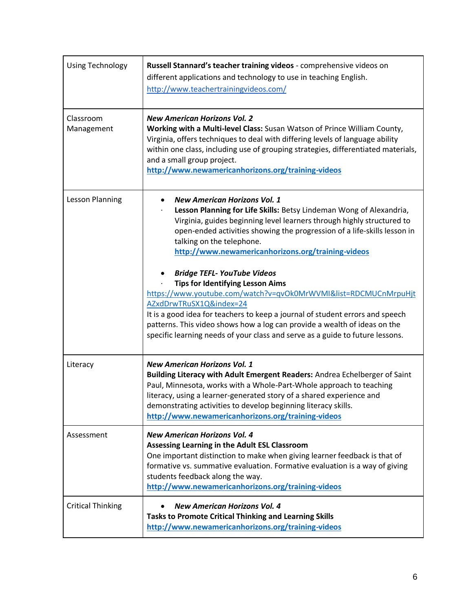| <b>Using Technology</b>  | Russell Stannard's teacher training videos - comprehensive videos on<br>different applications and technology to use in teaching English.<br>http://www.teachertrainingvideos.com/                                                                                                                                                                                                                                                                                                                                                                                                                                                                                                                                                                                                |
|--------------------------|-----------------------------------------------------------------------------------------------------------------------------------------------------------------------------------------------------------------------------------------------------------------------------------------------------------------------------------------------------------------------------------------------------------------------------------------------------------------------------------------------------------------------------------------------------------------------------------------------------------------------------------------------------------------------------------------------------------------------------------------------------------------------------------|
| Classroom<br>Management  | <b>New American Horizons Vol. 2</b><br>Working with a Multi-level Class: Susan Watson of Prince William County,<br>Virginia, offers techniques to deal with differing levels of language ability<br>within one class, including use of grouping strategies, differentiated materials,<br>and a small group project.<br>http://www.newamericanhorizons.org/training-videos                                                                                                                                                                                                                                                                                                                                                                                                         |
| Lesson Planning          | <b>New American Horizons Vol. 1</b><br>Lesson Planning for Life Skills: Betsy Lindeman Wong of Alexandria,<br>Virginia, guides beginning level learners through highly structured to<br>open-ended activities showing the progression of a life-skills lesson in<br>talking on the telephone.<br>http://www.newamericanhorizons.org/training-videos<br><b>Bridge TEFL- YouTube Videos</b><br><b>Tips for Identifying Lesson Aims</b><br>https://www.youtube.com/watch?v=qvOk0MrWVMI&list=RDCMUCnMrpuHjt<br>AZxdDrwTRuSX1Q&index=24<br>It is a good idea for teachers to keep a journal of student errors and speech<br>patterns. This video shows how a log can provide a wealth of ideas on the<br>specific learning needs of your class and serve as a guide to future lessons. |
| Literacy                 | <b>New American Horizons Vol. 1</b><br>Building Literacy with Adult Emergent Readers: Andrea Echelberger of Saint<br>Paul, Minnesota, works with a Whole-Part-Whole approach to teaching<br>literacy, using a learner-generated story of a shared experience and<br>demonstrating activities to develop beginning literacy skills.<br>http://www.newamericanhorizons.org/training-videos                                                                                                                                                                                                                                                                                                                                                                                          |
| Assessment               | <b>New American Horizons Vol. 4</b><br>Assessing Learning in the Adult ESL Classroom<br>One important distinction to make when giving learner feedback is that of<br>formative vs. summative evaluation. Formative evaluation is a way of giving<br>students feedback along the way.<br>http://www.newamericanhorizons.org/training-videos                                                                                                                                                                                                                                                                                                                                                                                                                                        |
| <b>Critical Thinking</b> | <b>New American Horizons Vol. 4</b><br><b>Tasks to Promote Critical Thinking and Learning Skills</b><br>http://www.newamericanhorizons.org/training-videos                                                                                                                                                                                                                                                                                                                                                                                                                                                                                                                                                                                                                        |